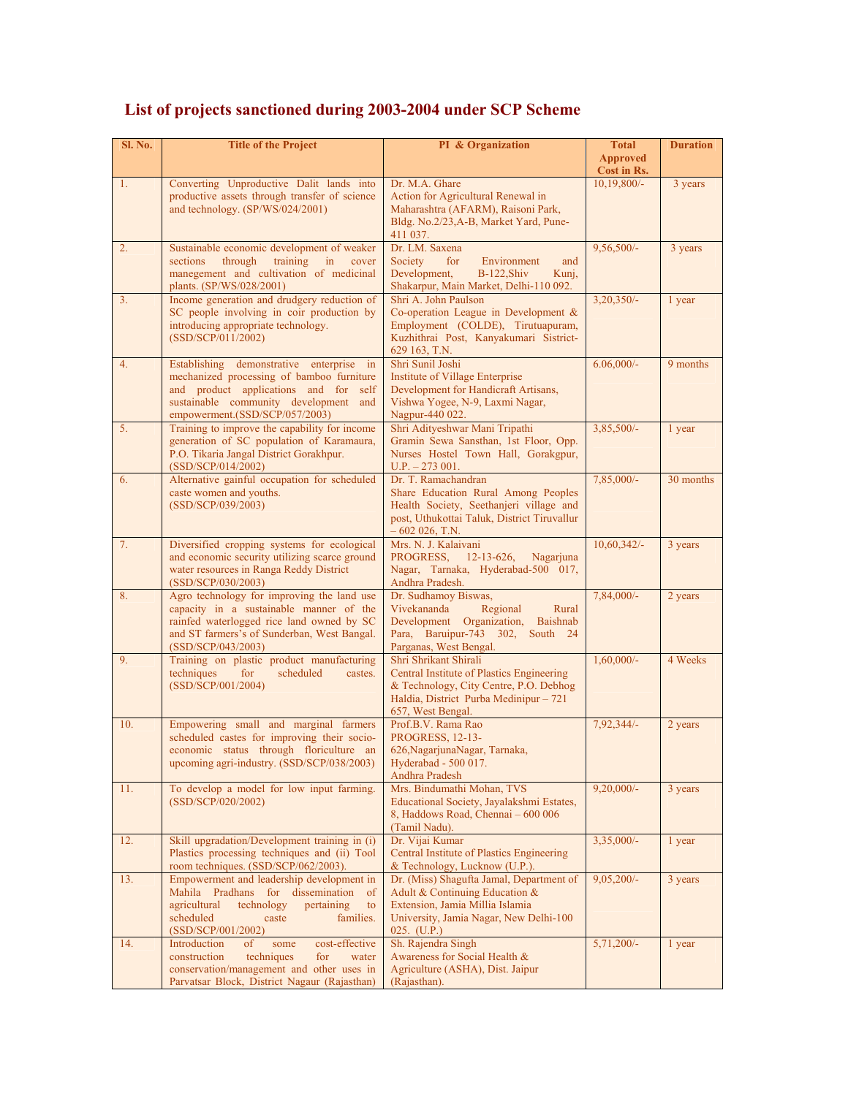| Sl. No.        | <b>Title of the Project</b>                                                                                                                                                                                   | PI & Organization                                                                                                                                                                                      | <b>Total</b><br><b>Approved</b> | <b>Duration</b> |
|----------------|---------------------------------------------------------------------------------------------------------------------------------------------------------------------------------------------------------------|--------------------------------------------------------------------------------------------------------------------------------------------------------------------------------------------------------|---------------------------------|-----------------|
|                |                                                                                                                                                                                                               |                                                                                                                                                                                                        | Cost in Rs.                     |                 |
| 1.             | Converting Unproductive Dalit lands into<br>productive assets through transfer of science<br>and technology. (SP/WS/024/2001)                                                                                 | Dr. M.A. Ghare<br>Action for Agricultural Renewal in<br>Maharashtra (AFARM), Raisoni Park,<br>Bldg. No.2/23, A-B, Market Yard, Pune-                                                                   | $10,19,800/-$                   | 3 years         |
| 2.             | Sustainable economic development of weaker<br>through<br>sections<br>training<br>in<br>cover<br>manegement and cultivation of medicinal                                                                       | 411 037.<br>Dr. LM. Saxena<br>Society<br>for<br>Environment<br>and<br>Development,<br>$B-122,$ Shiv<br>Kunj,                                                                                           | $9,56,500/-$                    | 3 years         |
| 3 <sub>1</sub> | plants. (SP/WS/028/2001)<br>Income generation and drudgery reduction of<br>SC people involving in coir production by<br>introducing appropriate technology.<br>(SSD/SCP/011/2002)                             | Shakarpur, Main Market, Delhi-110 092.<br>Shri A. John Paulson<br>Co-operation League in Development &<br>Employment (COLDE), Tirutuapuram,<br>Kuzhithrai Post, Kanyakumari Sistrict-<br>629 163, T.N. | $3,20,350/-$                    | 1 year          |
| 4.             | Establishing demonstrative enterprise<br>in<br>mechanized processing of bamboo furniture<br>and product applications and for self<br>sustainable community development and<br>empowerment.(SSD/SCP/057/2003)  | Shri Sunil Joshi<br>Institute of Village Enterprise<br>Development for Handicraft Artisans,<br>Vishwa Yogee, N-9, Laxmi Nagar,<br>Nagpur-440 022.                                                      | $6.06,000/$ -                   | 9 months        |
| 5.             | Training to improve the capability for income<br>generation of SC population of Karamaura,<br>P.O. Tikaria Jangal District Gorakhpur.<br>(SSD/SCP/014/2002)                                                   | Shri Adityeshwar Mani Tripathi<br>Gramin Sewa Sansthan, 1st Floor, Opp.<br>Nurses Hostel Town Hall, Gorakgpur,<br>$U.P. - 273001.$                                                                     | $3,85,500/-$                    | 1 year          |
| 6.             | Alternative gainful occupation for scheduled<br>caste women and youths.<br>(SSD/SCP/039/2003)                                                                                                                 | Dr. T. Ramachandran<br>Share Education Rural Among Peoples<br>Health Society, Seethanjeri village and<br>post, Uthukottai Taluk, District Tiruvallur<br>$-602026$ , T.N.                               | $7,85,000/$ -                   | 30 months       |
| 7.             | Diversified cropping systems for ecological<br>and economic security utilizing scarce ground<br>water resources in Ranga Reddy District<br>(SSD/SCP/030/2003)                                                 | Mrs. N. J. Kalaivani<br>PROGRESS,<br>$12 - 13 - 626$ ,<br>Nagarjuna<br>Nagar, Tarnaka, Hyderabad-500 017,<br>Andhra Pradesh.                                                                           | $10,60,342/$ -                  | 3 years         |
| 8.             | Agro technology for improving the land use<br>capacity in a sustainable manner of the<br>rainfed waterlogged rice land owned by SC<br>and ST farmers's of Sunderban, West Bangal.<br>(SSD/SCP/043/2003)       | Dr. Sudhamoy Biswas,<br>Vivekananda<br>Regional<br>Rural<br>Development Organization,<br>Baishnab<br>Para, Baruipur-743 302, South 24<br>Parganas, West Bengal.                                        | $7,84,000/$ -                   | 2 years         |
| 9.             | Training on plastic product manufacturing<br>for<br>techniques<br>scheduled<br>castes.<br>(SSD/SCP/001/2004)                                                                                                  | Shri Shrikant Shirali<br>Central Institute of Plastics Engineering<br>& Technology, City Centre, P.O. Debhog<br>Haldia, District Purba Medinipur - 721<br>657, West Bengal.                            | $1,60,000/-$                    | 4 Weeks         |
| 10.            | Empowering small and marginal farmers<br>scheduled castes for improving their socio-<br>economic status through floriculture an<br>upcoming agri-industry. (SSD/SCP/038/2003)                                 | Prof.B.V. Rama Rao<br><b>PROGRESS, 12-13-</b><br>626, Nagarjuna Nagar, Tarnaka,<br>Hyderabad - 500 017.<br>Andhra Pradesh                                                                              | 7,92,344/-                      | 2 years         |
| 11.            | To develop a model for low input farming.<br>(SSD/SCP/020/2002)                                                                                                                                               | Mrs. Bindumathi Mohan, TVS<br>Educational Society, Jayalakshmi Estates,<br>8, Haddows Road, Chennai - 600 006<br>(Tamil Nadu).                                                                         | $9,20,000/-$                    | 3 years         |
| 12.            | Skill upgradation/Development training in (i)<br>Plastics processing techniques and (ii) Tool<br>room techniques. (SSD/SCP/062/2003).                                                                         | Dr. Vijai Kumar<br>Central Institute of Plastics Engineering<br>& Technology, Lucknow (U.P.).                                                                                                          | $3,35,000/-$                    | 1 year          |
| 13.            | Empowerment and leadership development in<br>Mahila Pradhans<br>for dissemination<br><sub>of</sub><br>agricultural<br>technology<br>pertaining<br>to<br>scheduled<br>families.<br>caste<br>(SSD/SCP/001/2002) | Dr. (Miss) Shagufta Jamal, Department of<br>Adult & Continuing Education &<br>Extension, Jamia Millia Islamia<br>University, Jamia Nagar, New Delhi-100<br>025. $(U.P.)$                               | $9,05,200/-$                    | 3 years         |
| 14.            | Introduction<br>cost-effective<br>of<br>some<br>techniques<br>construction<br>for<br>water<br>conservation/management and other uses in<br>Parvatsar Block, District Nagaur (Rajasthan)                       | Sh. Rajendra Singh<br>Awareness for Social Health &<br>Agriculture (ASHA), Dist. Jaipur<br>(Rajasthan).                                                                                                | $5,71,200/-$                    | 1 year          |

## **List of projects sanctioned during 2003-2004 under SCP Scheme**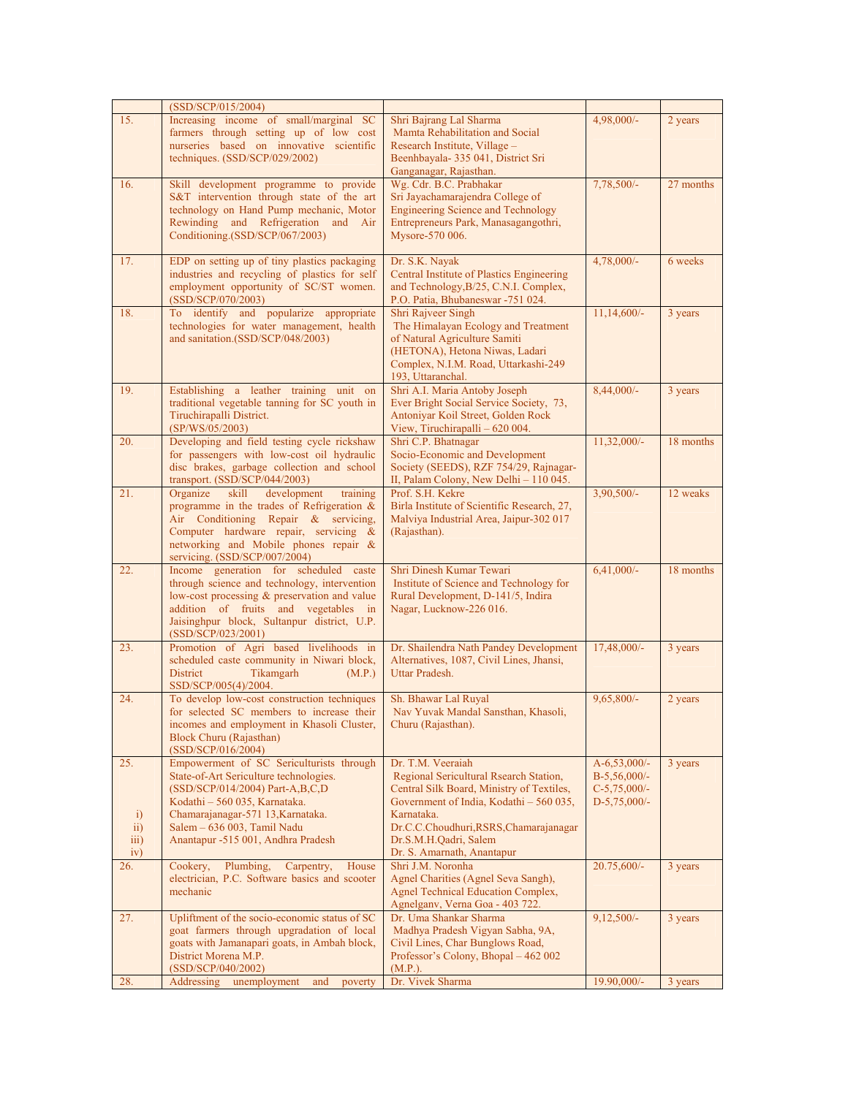|                                                     | (SSD/SCP/015/2004)                                                                                                                                                                                                                                               |                                                                                                                                                                                                                                                                    |                                                                      |           |
|-----------------------------------------------------|------------------------------------------------------------------------------------------------------------------------------------------------------------------------------------------------------------------------------------------------------------------|--------------------------------------------------------------------------------------------------------------------------------------------------------------------------------------------------------------------------------------------------------------------|----------------------------------------------------------------------|-----------|
| 15.                                                 | Increasing income of small/marginal SC<br>farmers through setting up of low cost                                                                                                                                                                                 | Shri Bajrang Lal Sharma<br>Mamta Rehabilitation and Social                                                                                                                                                                                                         | 4,98,000/-                                                           | 2 years   |
|                                                     | nurseries based on innovative scientific<br>techniques. (SSD/SCP/029/2002)                                                                                                                                                                                       | Research Institute, Village -<br>Beenhbayala- 335 041, District Sri<br>Ganganagar, Rajasthan.                                                                                                                                                                      |                                                                      |           |
| 16.                                                 | Skill development programme to provide<br>S&T intervention through state of the art<br>technology on Hand Pump mechanic, Motor<br>Rewinding and Refrigeration and Air<br>Conditioning.(SSD/SCP/067/2003)                                                         | Wg. Cdr. B.C. Prabhakar<br>Sri Jayachamarajendra College of<br><b>Engineering Science and Technology</b><br>Entrepreneurs Park, Manasagangothri,<br>Mysore-570 006.                                                                                                | 7,78,500/-                                                           | 27 months |
| 17.                                                 | EDP on setting up of tiny plastics packaging<br>industries and recycling of plastics for self<br>employment opportunity of SC/ST women.<br>(SSD/SCP/070/2003)                                                                                                    | Dr. S.K. Nayak<br>Central Institute of Plastics Engineering<br>and Technology, B/25, C.N.I. Complex,<br>P.O. Patia, Bhubaneswar -751 024.                                                                                                                          | 4,78,000/-                                                           | 6 weeks   |
| 18.                                                 | To identify and popularize appropriate<br>technologies for water management, health<br>and sanitation.(SSD/SCP/048/2003)                                                                                                                                         | Shri Rajveer Singh<br>The Himalayan Ecology and Treatment<br>of Natural Agriculture Samiti<br>(HETONA), Hetona Niwas, Ladari<br>Complex, N.I.M. Road, Uttarkashi-249<br>193, Uttaranchal.                                                                          | $11,14,600/-$                                                        | 3 years   |
| 19.                                                 | Establishing a leather training unit on<br>traditional vegetable tanning for SC youth in<br>Tiruchirapalli District.<br>(SP/WS/05/2003)                                                                                                                          | Shri A.I. Maria Antoby Joseph<br>Ever Bright Social Service Society, 73,<br>Antoniyar Koil Street, Golden Rock<br>View, Tiruchirapalli - 620 004.                                                                                                                  | 8,44,000/-                                                           | 3 years   |
| 20.                                                 | Developing and field testing cycle rickshaw<br>for passengers with low-cost oil hydraulic<br>disc brakes, garbage collection and school<br>transport. (SSD/SCP/044/2003)                                                                                         | Shri C.P. Bhatnagar<br>Socio-Economic and Development<br>Society (SEEDS), RZF 754/29, Rajnagar-<br>II, Palam Colony, New Delhi - 110 045.                                                                                                                          | $11,32,000/-$                                                        | 18 months |
| 21.                                                 | Organize<br>skill<br>development<br>training<br>programme in the trades of Refrigeration $\&$<br>Air Conditioning Repair & servicing,<br>Computer hardware repair, servicing &<br>networking and Mobile phones repair &<br>servicing. (SSD/SCP/007/2004)         | Prof. S.H. Kekre<br>Birla Institute of Scientific Research, 27,<br>Malviya Industrial Area, Jaipur-302 017<br>(Rajasthan).                                                                                                                                         | 3,90,500/-                                                           | 12 weaks  |
| 22.                                                 | Income generation for scheduled caste<br>through science and technology, intervention<br>low-cost processing & preservation and value<br>addition of fruits and vegetables in<br>Jaisinghpur block, Sultanpur district, U.P.<br>(SSD/SCP/023/2001)               | Shri Dinesh Kumar Tewari<br>Institute of Science and Technology for<br>Rural Development, D-141/5, Indira<br>Nagar, Lucknow-226 016.                                                                                                                               | $6,41,000/-$                                                         | 18 months |
| 23.                                                 | Promotion of Agri based livelihoods in<br>scheduled caste community in Niwari block,<br><b>District</b><br>Tikamgarh<br>(M.P.)<br>SSD/SCP/005(4)/2004.                                                                                                           | Dr. Shailendra Nath Pandey Development<br>Alternatives, 1087, Civil Lines, Jhansi,<br>Uttar Pradesh.                                                                                                                                                               | 17,48,000/-                                                          | 3 years   |
| 24.                                                 | To develop low-cost construction techniques<br>for selected SC members to increase their<br>incomes and employment in Khasoli Cluster,<br><b>Block Churu (Rajasthan)</b><br>(SSD/SCP/016/2004)                                                                   | Sh. Bhawar Lal Ruyal<br>Nav Yuvak Mandal Sansthan, Khasoli,<br>Churu (Rajasthan).                                                                                                                                                                                  | $9,65,800/-$                                                         | 2 years   |
| 25.<br>$\ddot{1}$<br>$\overline{ii}$<br>iii)<br>iv) | Empowerment of SC Sericulturists through<br>State-of-Art Sericulture technologies.<br>(SSD/SCP/014/2004) Part-A,B,C,D<br>Kodathi - 560 035, Karnataka.<br>Chamarajanagar-571 13, Karnataka.<br>Salem - 636 003, Tamil Nadu<br>Anantapur -515 001, Andhra Pradesh | Dr. T.M. Veeraiah<br>Regional Sericultural Rsearch Station,<br>Central Silk Board, Ministry of Textiles,<br>Government of India, Kodathi - 560 035,<br>Karnataka.<br>Dr.C.C.Choudhuri, RSRS, Chamarajanagar<br>Dr.S.M.H.Qadri, Salem<br>Dr. S. Amarnath, Anantapur | $A-6,53,000/-$<br>$B-5,56,000/-$<br>$C-5,75,000/-$<br>$D-5,75,000/-$ | 3 years   |
| 26.                                                 | Plumbing.<br>Cookery,<br>Carpentry,<br>House<br>electrician, P.C. Software basics and scooter<br>mechanic                                                                                                                                                        | Shri J.M. Noronha<br>Agnel Charities (Agnel Seva Sangh),<br>Agnel Technical Education Complex,<br>Agnelgany, Verna Goa - 403 722.                                                                                                                                  | $20.75,600/-$                                                        | 3 years   |
| 27.                                                 | Upliftment of the socio-economic status of SC<br>goat farmers through upgradation of local<br>goats with Jamanapari goats, in Ambah block,<br>District Morena M.P.<br>(SSD/SCP/040/2002)                                                                         | Dr. Uma Shankar Sharma<br>Madhya Pradesh Vigyan Sabha, 9A,<br>Civil Lines, Char Bunglows Road,<br>Professor's Colony, Bhopal - 462 002<br>(M.P.).                                                                                                                  | $9,12,500/-$                                                         | 3 years   |
| 28.                                                 | unemployment<br>Addressing<br>and<br>poverty                                                                                                                                                                                                                     | Dr. Vivek Sharma                                                                                                                                                                                                                                                   | 19.90,000/-                                                          | 3 years   |